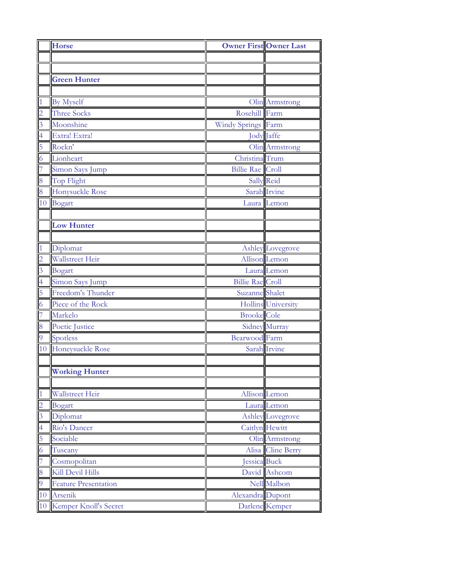|                         | <b>Horse</b>                | <b>Owner First Owner Last</b> |                    |
|-------------------------|-----------------------------|-------------------------------|--------------------|
|                         |                             |                               |                    |
|                         |                             |                               |                    |
|                         | <b>Green Hunter</b>         |                               |                    |
|                         |                             |                               |                    |
| $\vert$ 1               | By Myself                   |                               | Olin Armstrong     |
| $\overline{2}$          | <b>Three Socks</b>          | Rosehill Farm                 |                    |
| $\overline{3}$          | Moonshine                   | Windy Springs Farm            |                    |
| $\overline{4}$          | Extra! Extra!               |                               | <b>Jody Jaffe</b>  |
| 5                       | Rockn'                      |                               | Olin Armstrong     |
| $\overline{6}$          | Lionheart                   | Christina <sup>Trum</sup>     |                    |
| $\overline{7}$          | Simon Says Jump             | <b>Billie Rae</b> Croll       |                    |
| 8                       | Top Flight                  |                               | Sally Reid         |
| 8                       | Honysuckle Rose             |                               | Sarah Irvine       |
| 10                      | Bogart                      |                               | Laura Lemon        |
|                         |                             |                               |                    |
|                         | <b>Low Hunter</b>           |                               |                    |
|                         |                             |                               |                    |
| $\overline{1}$          | Diplomat                    |                               | Ashley Lovegrove   |
| $\overline{c}$          | Wallstreet Heir             |                               | Allison Lemon      |
| $\overline{\mathbf{3}}$ | Bogart                      |                               | Laura Lemon        |
| $\overline{4}$          | Simon Says Jump             | <b>Billie Rae</b> Croll       |                    |
| 5                       | Freedom's Thunder           | Suzanne Shalet                |                    |
| $\overline{6}$          | Piece of the Rock           |                               | Hollins University |
| $\overline{7}$          | Markelo                     | <b>Brooke</b> Cole            |                    |
| 8                       | Poetic Justice              |                               | Sidney Murray      |
| $\overline{9}$          | Spotless                    | <b>Bearwood</b> Farm          |                    |
|                         | 10 Honeysuckle Rose         |                               | Sarah Irvine       |
|                         |                             |                               |                    |
|                         | <b>Working Hunter</b>       |                               |                    |
|                         |                             |                               |                    |
| $\mathbf{1}$            | Wallstreet Heir             |                               | Allison Lemon      |
| $\overline{c}$          | Bogart                      |                               | Laura Lemon        |
| $\overline{3}$          | Diplomat                    |                               | Ashley Lovegrove   |
| $\overline{4}$          | Rio's Dancer                |                               | Caitlyn Hewitt     |
| 5                       | Sociable                    |                               | Olin Armstrong     |
| $\overline{6}$          | Tuscany                     |                               | Alisa Cline Berry  |
| 7                       | Cosmopolitan                | Jessica Buck                  |                    |
| 8                       | Kill Devil Hills            |                               | David Ashcom       |
| $\overline{9}$          | <b>Feature Presentation</b> |                               | Nell Malbon        |
| 10                      | Arsenik                     | Alexandra Dupont              |                    |
| 10                      | Kemper Knoll's Secret       |                               | Darlene Kemper     |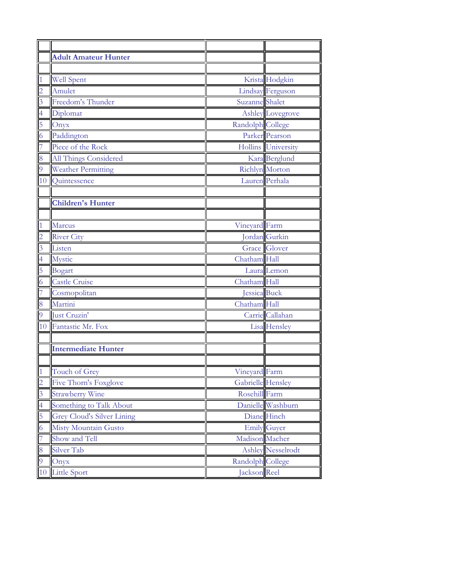|                | <b>Adult Amateur Hunter</b> |                   |                          |
|----------------|-----------------------------|-------------------|--------------------------|
|                |                             |                   |                          |
| $\overline{1}$ | <b>Well Spent</b>           |                   | Krista Hodgkin           |
| $\overline{c}$ | Amulet                      |                   | <b>Lindsay Ferguson</b>  |
| $\overline{3}$ | Freedom's Thunder           | Suzanne Shalet    |                          |
| $\overline{4}$ | Diplomat                    |                   | Ashley Lovegrove         |
| 5              | Onyx                        | Randolph College  |                          |
| 6              | Paddington                  |                   | Parker Pearson           |
| 7              | Piece of the Rock           |                   | Hollins University       |
| 8              | All Things Considered       |                   | Kara Berglund            |
| 9              | <b>Weather Permitting</b>   |                   | <b>Richlyn</b> Morton    |
| 10             | Quintessence                |                   | Lauren Perhala           |
|                |                             |                   |                          |
|                | <b>Children's Hunter</b>    |                   |                          |
|                |                             |                   |                          |
| $\overline{1}$ | Marcus                      | Vineyard Farm     |                          |
| $\overline{c}$ | <b>River City</b>           |                   | Jordan Gurkin            |
| $\overline{3}$ | Listen                      |                   | Grace Glover             |
| $\overline{4}$ | Mystic                      | Chatham Hall      |                          |
| 5              | Bogart                      |                   | Laura Lemon              |
| 6              | <b>Castle Cruise</b>        | Chatham Hall      |                          |
| 7              | Cosmopolitan                | Jessica Buck      |                          |
| 8              | Martini                     | Chatham Hall      |                          |
| $\overline{9}$ | Just Cruzin'                |                   | Carrie Callahan          |
|                | 10 Fantastic Mr. Fox        |                   | Lisa Hensley             |
|                | <b>Intermediate Hunter</b>  |                   |                          |
|                |                             |                   |                          |
| $\overline{1}$ | Touch of Grey               | Vineyard Farm     |                          |
| $\overline{2}$ | Five Thorn's Foxglove       | Gabrielle Hensley |                          |
| $\overline{3}$ | <b>Strawberry Wine</b>      | Rosehill Farm     |                          |
| $\overline{4}$ | Something to Talk About     |                   | Danielle Washburn        |
| 5              | Grey Cloud's Silver Lining  |                   | Diane Hinch              |
| 6              | Misty Mountain Gusto        |                   | <b>Emily Guyer</b>       |
| 7              | Show and Tell               | Madison Macher    |                          |
| 8              | Silver Tab                  |                   | <b>Ashley</b> Nesselrodt |
| 9              | Onyx                        | Randolph College  |                          |
| 10             | <b>Little Sport</b>         | Jackson Reel      |                          |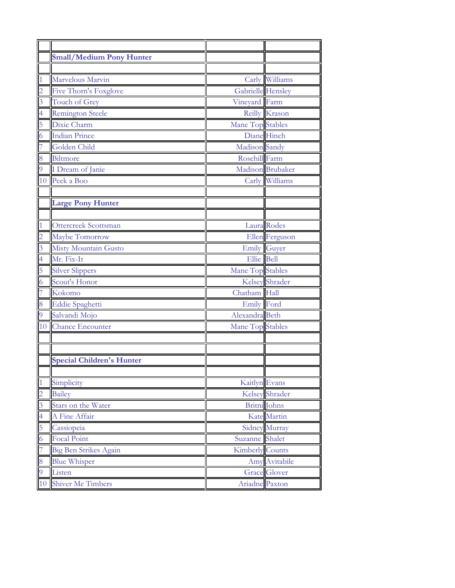|                | <b>Small/Medium Pony Hunter</b>  |                        |                      |
|----------------|----------------------------------|------------------------|----------------------|
|                |                                  |                        |                      |
| $\mathbf{1}$   | Marvelous Marvin                 |                        | Carly Williams       |
| $\overline{c}$ | Five Thorn's Foxglove            | Gabrielle Hensley      |                      |
| $\overline{3}$ | Touch of Grey                    | Vineyard Farm          |                      |
| $\overline{4}$ | <b>Remington Steele</b>          |                        | Reilly Krason        |
| 5              | Dixie Charm                      | Mane Top Stables       |                      |
| $\overline{6}$ | <b>Indian Prince</b>             |                        | Diane Hinch          |
| 7              | Golden Child                     | Madison Sandy          |                      |
| 8              | Biltmore                         | Rosehill Farm          |                      |
| 9              | I Dream of Janie                 |                        | Madison Brubaker     |
|                | 10 Peek a Boo                    |                        | Carly Williams       |
|                |                                  |                        |                      |
|                | <b>Large Pony Hunter</b>         |                        |                      |
|                |                                  |                        |                      |
| $\overline{1}$ | Ottercreek Scottsman             |                        | Laura Rodes          |
| $\overline{2}$ | Maybe Tomorrow                   |                        | Ellen Ferguson       |
| $\overline{3}$ | <b>Misty Mountain Gusto</b>      |                        | Emily Guyer          |
| $\overline{4}$ | Mr. Fix-It                       | Ellie Bell             |                      |
| 5              | <b>Silver Slippers</b>           | Mane Top Stables       |                      |
| $\overline{6}$ | Scout's Honor                    |                        | Kelsey Shrader       |
| 7              | Kokomo                           | Chatham Hall           |                      |
| 8              | <b>Eddie Spaghetti</b>           | Emily Ford             |                      |
| $\overline{9}$ | Salvandi Mojo                    | Alexandra Beth         |                      |
|                | 10 Chance Encounter              | Mane Top Stables       |                      |
|                |                                  |                        |                      |
|                |                                  |                        |                      |
|                | <b>Special Children's Hunter</b> |                        |                      |
|                |                                  |                        |                      |
| $\vert$ 1      | Simplicity                       | Kaitlyn Evans          |                      |
| $\overline{c}$ | <b>Bailey</b>                    |                        | Kelsey Shrader       |
| 3              | Stars on the Water               |                        | <b>Britni</b> Johns  |
| $\overline{4}$ | A Fine Affair                    |                        | Kate Martin          |
| 5              | Cassiopeia                       |                        | <b>Sidney Murray</b> |
| $\overline{6}$ | <b>Focal Point</b>               | Suzanne Shalet         |                      |
| 7              | <b>Big Ben Strikes Again</b>     | <b>Kimberly Counts</b> |                      |
| 8              | <b>Blue Whisper</b>              |                        | Amy Avitabile        |
| 9              | Listen                           |                        | <b>Grace Glover</b>  |
| 10             | Shiver Me Timbers                | Ariadne Paxton         |                      |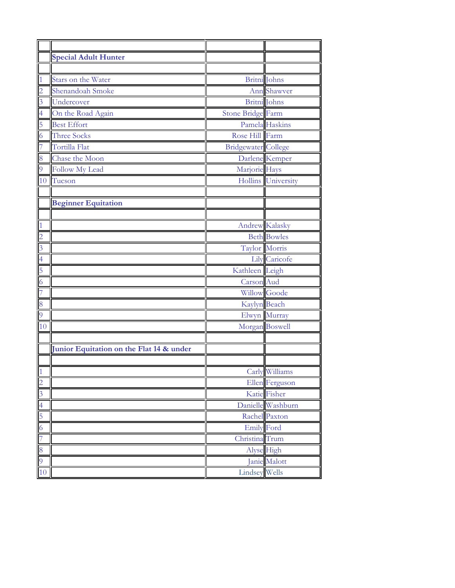|                | <b>Special Adult Hunter</b>              |                       |                     |
|----------------|------------------------------------------|-----------------------|---------------------|
|                |                                          |                       |                     |
| $\mathbf{1}$   | Stars on the Water                       | Britni Johns          |                     |
| $\overline{2}$ | Shenandoah Smoke                         |                       | <b>Ann</b> Shawver  |
| $\overline{3}$ | Undercover                               | Britni Johns          |                     |
| $\overline{4}$ | On the Road Again                        | Stone Bridge Farm     |                     |
| 5              | <b>Best Effort</b>                       |                       | Pamela Haskins      |
| $\overline{6}$ | <b>Three Socks</b>                       | Rose Hill Farm        |                     |
| 7              | Tortilla Flat                            | Bridgewater College   |                     |
| 8              | Chase the Moon                           |                       | Darlene Kemper      |
| 9              | <b>Follow My Lead</b>                    | Marjorie Hays         |                     |
|                | 10 Tucson                                |                       | Hollins University  |
|                |                                          |                       |                     |
|                | <b>Beginner Equitation</b>               |                       |                     |
|                |                                          |                       |                     |
| $\mathbf{1}$   |                                          | <b>Andrew Kalasky</b> |                     |
| $\overline{2}$ |                                          |                       | <b>Beth Bowles</b>  |
| $\overline{3}$ |                                          | Taylor Morris         |                     |
| $\overline{4}$ |                                          |                       | Lily Caricofe       |
| 5              |                                          | Kathleen Leigh        |                     |
| $\overline{6}$ |                                          | Carson Aud            |                     |
| 7              |                                          |                       | <b>Willow Goode</b> |
| 8              |                                          | Kaylyn Beach          |                     |
| $\overline{9}$ |                                          |                       | Elwyn Murray        |
| 10             |                                          | Morgan Boswell        |                     |
|                |                                          |                       |                     |
|                | Junior Equitation on the Flat 14 & under |                       |                     |
|                |                                          |                       |                     |
| $\overline{1}$ |                                          |                       | Carly Williams      |
| $\overline{2}$ |                                          |                       | Ellen Ferguson      |
| $\overline{3}$ |                                          |                       | Katie Fisher        |
| $\overline{a}$ |                                          |                       | Danielle Washburn   |
| 5              |                                          |                       | Rachel Paxton       |
| $\overline{6}$ |                                          | <b>Emily</b> Ford     |                     |
| 7              |                                          | Christina Trum        |                     |
| 8              |                                          | Alyse High            |                     |
| $\overline{9}$ |                                          |                       | Janie Malott        |
| 10             |                                          | Lindsey Wells         |                     |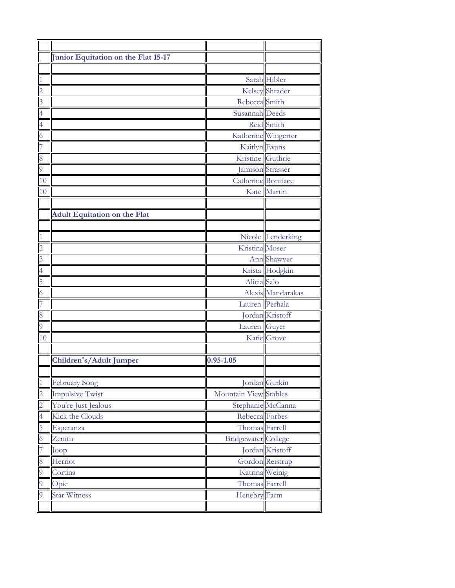|                | Junior Equitation on the Flat 15-17 |                            |                     |
|----------------|-------------------------------------|----------------------------|---------------------|
|                |                                     |                            |                     |
| $\mathbf{1}$   |                                     |                            | Sarah Hibler        |
| $\overline{c}$ |                                     |                            | Kelsey Shrader      |
| $\overline{3}$ |                                     | Rebecca Smith              |                     |
| $\overline{4}$ |                                     | Susannah Deeds             |                     |
| $\overline{4}$ |                                     |                            | Reid Smith          |
| $\overline{6}$ |                                     |                            | Katherine Wingerter |
| 7              |                                     | Kaitlyn Evans              |                     |
| 8              |                                     | Kristine Guthrie           |                     |
| $\overline{9}$ |                                     |                            | Jamison Strasser    |
| 10             |                                     | Catherine Boniface         |                     |
| 10             |                                     |                            | Kate Martin         |
|                |                                     |                            |                     |
|                | <b>Adult Equitation on the Flat</b> |                            |                     |
|                |                                     |                            |                     |
| $\mathbf{1}$   |                                     |                            | Nicole Lenderking   |
| $\overline{2}$ |                                     | Kristina Moser             |                     |
| $\overline{3}$ |                                     |                            | Ann Shawver         |
| $\overline{4}$ |                                     |                            | Krista Hodgkin      |
| 5              |                                     | Alicia Salo                |                     |
| $\overline{6}$ |                                     |                            | Alexis Mandarakas   |
| 7              |                                     | Lauren Perhala             |                     |
| 8              |                                     |                            | Jordan Kristoff     |
| $\overline{9}$ |                                     | Lauren Guyer               |                     |
| 10             |                                     |                            | Katie Grove         |
|                |                                     |                            |                     |
|                | Children's/Adult Jumper             | $0.95 - 1.05$              |                     |
|                |                                     |                            |                     |
| $\vert$ 1      | <b>February Song</b>                |                            | Jordan Gurkin       |
| $\overline{c}$ | <b>Impulsive Twist</b>              | Mountain View Stables      |                     |
| $\overline{c}$ | You're Just Jealous                 |                            | Stephanie McCanna   |
| $\overline{4}$ | Kick the Clouds                     | Rebecca Forbes             |                     |
| 5              | Esperanza                           | Thomas Farrell             |                     |
| 6              | Zenith                              | <b>Bridgewater College</b> |                     |
| 7              | Joop                                |                            | Jordan Kristoff     |
| 8              | Herriot                             |                            | Gordon Reistrup     |
| 9              | Cortina                             |                            | Katrina Weinig      |
| 9              | Opie                                | Thomas Farrell             |                     |
| 9              | <b>Star Witness</b>                 | Henebry Farm               |                     |
|                |                                     |                            |                     |